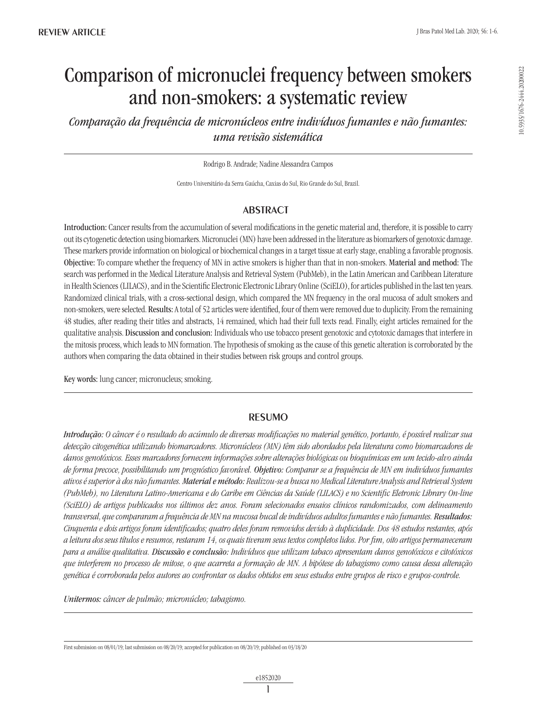# Comparison of micronuclei frequency between smokers and non-smokers: a systematic review

*Comparação da frequência de micronúcleos entre indivíduos fumantes e não fumantes: uma revisão sistemática*

Rodrigo B. Andrade; Nadine Alessandra Campos

Centro Universitário da Serra Gaúcha, Caxias do Sul, Rio Grande do Sul, Brazil.

## **ABSTRACT**

Introduction: Cancer results from the accumulation of several modifications in the genetic material and, therefore, it is possible to carry out its cytogenetic detection using biomarkers. Micronuclei (MN) have been addressed in the literature as biomarkers of genotoxic damage. These markers provide information on biological or biochemical changes in a target tissue at early stage, enabling a favorable prognosis. Objective: To compare whether the frequency of MN in active smokers is higher than that in non-smokers. Material and method: The search was performed in the Medical Literature Analysis and Retrieval System (PubMeb), in the Latin American and Caribbean Literature in Health Sciences (LILACS), and in the Scientific Electronic Electronic Library Online (SciELO), for articles published in the last ten years. Randomized clinical trials, with a cross-sectional design, which compared the MN frequency in the oral mucosa of adult smokers and non-smokers, were selected. Results: A total of 52 articles were identified, four of them were removed due to duplicity. From the remaining 48 studies, after reading their titles and abstracts, 14 remained, which had their full texts read. Finally, eight articles remained for the qualitative analysis. Discussion and conclusion: Individuals who use tobacco present genotoxic and cytotoxic damages that interfere in the mitosis process, which leads to MN formation. The hypothesis of smoking as the cause of this genetic alteration is corroborated by the authors when comparing the data obtained in their studies between risk groups and control groups.

Key words: lung cancer; micronucleus; smoking.

### resumo

*Introdução: O câncer é o resultado do acúmulo de diversas modificações no material genético, portanto, é possível realizar sua detecção citogenética utilizando biomarcadores. Micronúcleos (MN) têm sido abordados pela literatura como biomarcadores de danos genotóxicos. Esses marcadores fornecem informações sobre alterações biológicas ou bioquímicas em um tecido-alvo ainda de forma precoce, possibilitando um prognóstico favorável. Objetivo: Comparar se a frequência de MN em indivíduos fumantes ativos é superior à dos não fumantes. Material e método: Realizou-se a busca no Medical Literature Analysis and Retrieval System (PubMeb), no Literatura Latino-Americana e do Caribe em Ciências da Saúde (LILACS) e no Scientific Eletronic Library On-line (SciELO) de artigos publicados nos últimos dez anos. Foram selecionados ensaios clínicos randomizados, com delineamento transversal, que compararam a frequência de MN na mucosa bucal de indivíduos adultos fumantes e não fumantes. Resultados: Cinquenta e dois artigos foram identificados; quatro deles foram removidos devido à duplicidade. Dos 48 estudos restantes, após a leitura dos seus títulos e resumos, restaram 14, os quais tiveram seus textos completos lidos. Por fim, oito artigos permaneceram para a análise qualitativa. Discussão e conclusão: Indivíduos que utilizam tabaco apresentam danos genotóxicos e citotóxicos que interferem no processo de mitose, o que acarreta a formação de MN. A hipótese do tabagismo como causa dessa alteração genética é corroborada pelos autores ao confrontar os dados obtidos em seus estudos entre grupos de risco e grupos-controle.*

*Unitermos: câncer de pulmão; micronúcleo; tabagismo.*

First submission on 08/01/19; last submission on 08/20/19; accepted for publication on 08/20/19; published on 03/18/20

10.5935/1676-2444.20200022

0.5935/1676-2444.20200022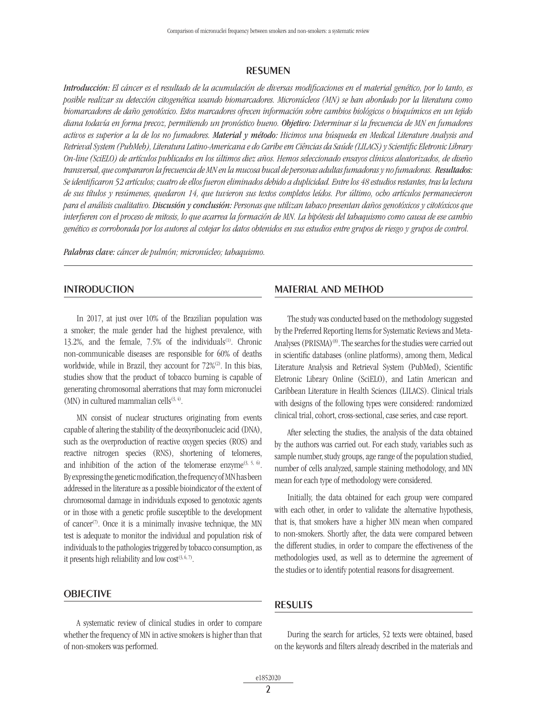#### **RESUMEN**

*Introducción: El cáncer es el resultado de la acumulación de diversas modificaciones en el material genético, por lo tanto, es posible realizar su detección citogenética usando biomarcadores. Micronúcleos (MN) se han abordado por la literatura como biomarcadores de daño genotóxico. Estos marcadores ofrecen información sobre cambios biológicos o bioquímicos en un tejido diana todavía en forma precoz, permitiendo un pronóstico bueno. Objetivo: Determinar si la frecuencia de MN en fumadores activos es superior a la de los no fumadores. Material y método: Hicimos una búsqueda en Medical Literature Analysis and Retrieval System (PubMeb), Literatura Latino-Americana e do Caribe em Ciências da Saúde (LILACS) y Scientific Eletronic Library On-line (Scielo) de artículos publicados en los últimos diez años. Hemos seleccionado ensayos clínicos aleatorizados, de diseño transversal, que compararon la frecuencia de MN en la mucosa bucal de personas adultas fumadoras y no fumadoras. Resultados: Se identificaron 52 artículos; cuatro de ellos fueron eliminados debido a duplicidad. Entre los 48 estudios restantes, tras la lectura de sus títulos y resúmenes, quedaron 14, que tuvieron sus textos completos leídos. Por último, ocho artículos permanecieron para el análisis cualitativo. Discusión y conclusión: Personas que utilizan tabaco presentan daños genotóxicos y citotóxicos que interfieren con el proceso de mitosis, lo que acarrea la formación de MN. La hipótesis del tabaquismo como causa de ese cambio genético es corroborada por los autores al cotejar los datos obtenidos en sus estudios entre grupos de riesgo y grupos de control.* 

*Palabras clave: cáncer de pulmón; micronúcleo; tabaquismo.*

### **INTRODUCTION**

In 2017, at just over 10% of the Brazilian population was a smoker; the male gender had the highest prevalence, with 13.2%, and the female, 7.5% of the individuals<sup>(1)</sup>. Chronic non-communicable diseases are responsible for 60% of deaths worldwide, while in Brazil, they account for 72%<sup>(2)</sup>. In this bias, studies show that the product of tobacco burning is capable of generating chromosomal aberrations that may form micronuclei (MN) in cultured mammalian cells $(3, 4)$ .

MN consist of nuclear structures originating from events capable of altering the stability of the deoxyribonucleic acid (DNA), such as the overproduction of reactive oxygen species (ROS) and reactive nitrogen species (RNS), shortening of telomeres, and inhibition of the action of the telomerase enzyme<sup> $(3, 5, 6)$ </sup>. By expressing the genetic modification, the frequency of MN has been addressed in the literature as a possible bioindicator of the extent of chromosomal damage in individuals exposed to genotoxic agents or in those with a genetic profile susceptible to the development of cancer<sup>(7)</sup>. Once it is a minimally invasive technique, the MN test is adequate to monitor the individual and population risk of individuals to the pathologies triggered by tobacco consumption, as it presents high reliability and low  $cost^{(3,6,7)}$ .

#### **OBJECTIVE**

A systematic review of clinical studies in order to compare whether the frequency of MN in active smokers is higher than that of non-smokers was performed.

#### Material and method

The study was conducted based on the methodology suggested by the Preferred Reporting Items for Systematic Reviews and Meta-Analyses (PRISMA)<sup>(8)</sup>. The searches for the studies were carried out in scientific databases (online platforms), among them, Medical Literature Analysis and Retrieval System (PubMed), Scientific Eletronic Library Online (SciELO), and Latin American and Caribbean Literature in Health Sciences (LILACS). Clinical trials with designs of the following types were considered: randomized clinical trial, cohort, cross-sectional, case series, and case report.

After selecting the studies, the analysis of the data obtained by the authors was carried out. For each study, variables such as sample number, study groups, age range of the population studied, number of cells analyzed, sample staining methodology, and MN mean for each type of methodology were considered.

Initially, the data obtained for each group were compared with each other, in order to validate the alternative hypothesis, that is, that smokers have a higher MN mean when compared to non-smokers. Shortly after, the data were compared between the different studies, in order to compare the effectiveness of the methodologies used, as well as to determine the agreement of the studies or to identify potential reasons for disagreement.

#### **RESULTS**

During the search for articles, 52 texts were obtained, based on the keywords and filters already described in the materials and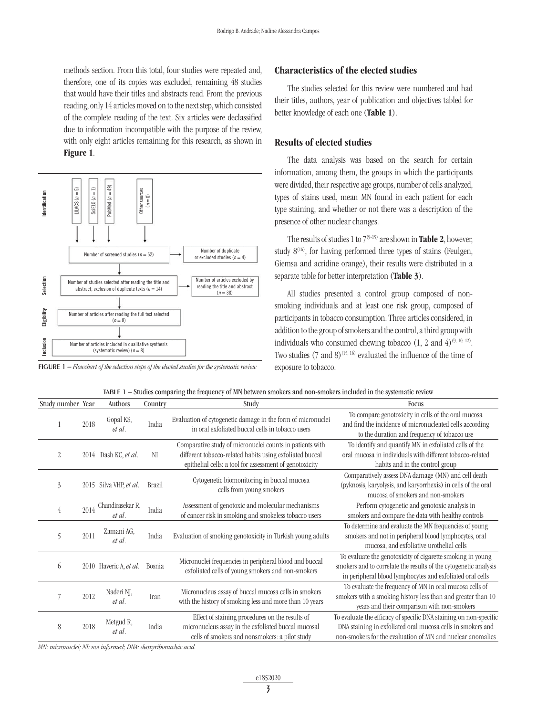methods section. From this total, four studies were repeated and, therefore, one of its copies was excluded, remaining 48 studies that would have their titles and abstracts read. From the previous reading, only 14 articles moved on to the next step, which consisted of the complete reading of the text. Six articles were declassified due to information incompatible with the purpose of the review, with only eight articles remaining for this research, as shown in Figure 1.



#### Characteristics of the elected studies

The studies selected for this review were numbered and had their titles, authors, year of publication and objectives tabled for better knowledge of each one (Table 1).

#### Results of elected studies

The data analysis was based on the search for certain information, among them, the groups in which the participants were divided, their respective age groups, number of cells analyzed, types of stains used, mean MN found in each patient for each type staining, and whether or not there was a description of the presence of other nuclear changes.

The results of studies 1 to  $7^{(9-15)}$  are shown in **Table 2**, however, study  $8^{(16)}$ , for having performed three types of stains (Feulgen, Giemsa and acridine orange), their results were distributed in a separate table for better interpretation (Table 3).

All studies presented a control group composed of nonsmoking individuals and at least one risk group, composed of participants in tobacco consumption. Three articles considered, in addition to the group of smokers and the control, a third group with individuals who consumed chewing tobacco  $(1, 2 \text{ and } 4)^{(9, 10, 12)}$ . Two studies  $(7 \text{ and } 8)^{(15, 16)}$  evaluated the influence of the time of exposure to tobacco.

|  | TABLE 1 – Studies comparing the frequency of MN between smokers and non-smokers included in the systematic review |  |  |  |  |  |  |
|--|-------------------------------------------------------------------------------------------------------------------|--|--|--|--|--|--|
|--|-------------------------------------------------------------------------------------------------------------------|--|--|--|--|--|--|

| Study number Year |      | Authors                         | Country       | Study                                                                                                                                                                           | Focus                                                                                                                                                                                          |
|-------------------|------|---------------------------------|---------------|---------------------------------------------------------------------------------------------------------------------------------------------------------------------------------|------------------------------------------------------------------------------------------------------------------------------------------------------------------------------------------------|
|                   | 2018 | Gopal KS,<br>et al.             | India         | Evaluation of cytogenetic damage in the form of micronuclei<br>in oral exfoliated buccal cells in tobacco users                                                                 | To compare genotoxicity in cells of the oral mucosa<br>and find the incidence of micronucleated cells according<br>to the duration and frequency of tobacco use                                |
| $\overline{2}$    |      | 2014 Dash KC, et al.            | NI            | Comparative study of micronuclei counts in patients with<br>different tobacco-related habits using exfoliated buccal<br>epithelial cells: a tool for assessment of genotoxicity | To identify and quantify MN in exfoliated cells of the<br>oral mucosa in individuals with different tobacco-related<br>habits and in the control group                                         |
| 3                 |      | 2015 Silva VHP, et al.          | <b>Brazil</b> | Cytogenetic biomonitoring in buccal mucosa<br>cells from young smokers                                                                                                          | Comparatively assess DNA damage (MN) and cell death<br>(pyknosis, karyolysis, and karyorrhexis) in cells of the oral<br>mucosa of smokers and non-smokers                                      |
| 4                 |      | 2014 Chandirasekar R,<br>et al. | India         | Assessment of genotoxic and molecular mechanisms<br>of cancer risk in smoking and smokeless tobacco users                                                                       | Perform cytogenetic and genotoxic analysis in<br>smokers and compare the data with healthy controls                                                                                            |
| 5                 | 2011 | Zamani AG,<br>et al.            | India         | Evaluation of smoking genotoxicity in Turkish young adults                                                                                                                      | To determine and evaluate the MN frequencies of young<br>smokers and not in peripheral blood lymphocytes, oral<br>mucosa, and exfoliative urothelial cells                                     |
| 6                 |      | 2010 Haveric A, et al.          | Bosnia        | Micronuclei frequencies in peripheral blood and buccal<br>exfoliated cells of young smokers and non-smokers                                                                     | To evaluate the genotoxicity of cigarette smoking in young<br>smokers and to correlate the results of the cytogenetic analysis<br>in peripheral blood lymphocytes and exfoliated oral cells    |
|                   | 2012 | Naderi NJ,<br>et al.            | Iran          | Micronucleus assay of buccal mucosa cells in smokers<br>with the history of smoking less and more than 10 years                                                                 | To evaluate the frequency of MN in oral mucosa cells of<br>smokers with a smoking history less than and greater than 10<br>years and their comparison with non-smokers                         |
| 8                 | 2018 | Metgud R,<br>et al.             | India         | Effect of staining procedures on the results of<br>micronucleus assay in the exfoliated buccal mucosal<br>cells of smokers and nonsmokers: a pilot study                        | To evaluate the efficacy of specific DNA staining on non-specific<br>DNA staining in exfoliated oral mucosa cells in smokers and<br>non-smokers for the evaluation of MN and nuclear anomalies |

*MN: micronuclei; NI: not informed; DNA: deoxyribonucleic acid.*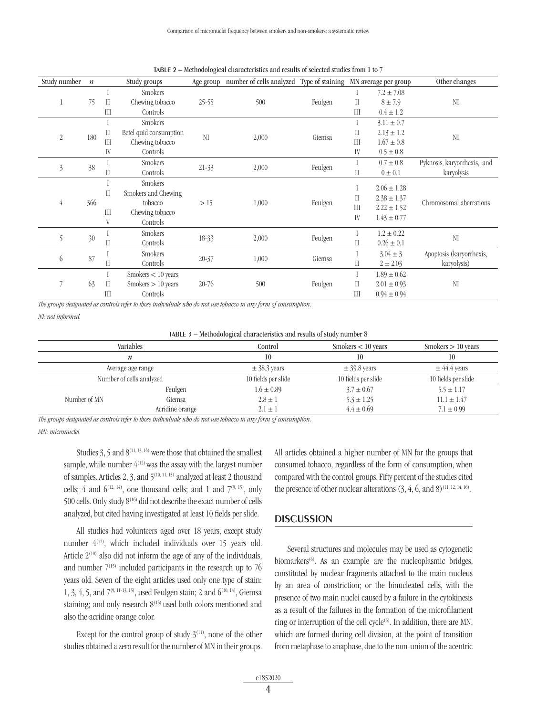| Study number   | $\boldsymbol{n}$ |               | Study groups           | Age group      | number of cells analyzed Type of staining |          |                            | MN average per group | Other changes            |  |  |         |  |  |  |  |               |                             |
|----------------|------------------|---------------|------------------------|----------------|-------------------------------------------|----------|----------------------------|----------------------|--------------------------|--|--|---------|--|--|--|--|---------------|-----------------------------|
|                |                  |               | <b>Smokers</b>         |                |                                           |          |                            | $7.2 \pm 7.08$       |                          |  |  |         |  |  |  |  |               |                             |
|                | 75               | $\mathcal{I}$ | Chewing tobacco        | $25 - 55$      | 500                                       | Feulgen  | $\rm II$                   | $8 \pm 7.9$          | NI                       |  |  |         |  |  |  |  |               |                             |
|                |                  | III           | Controls               |                |                                           |          | III                        | $0.4 \pm 1.2$        |                          |  |  |         |  |  |  |  |               |                             |
|                |                  |               | <b>Smokers</b>         | NI             |                                           | Giemsa   |                            | $3.11 \pm 0.7$       | NI                       |  |  |         |  |  |  |  |               |                             |
| $\overline{2}$ | 180              | $\prod$       | Betel quid consumption |                |                                           |          | П                          | $2.13 \pm 1.2$       |                          |  |  |         |  |  |  |  |               |                             |
|                |                  | III           | Chewing tobacco        |                | 2,000                                     |          | III                        | $1.67 \pm 0.8$       |                          |  |  |         |  |  |  |  |               |                             |
|                |                  | IV            | Controls               |                |                                           |          | IV                         | $0.5 \pm 0.8$        |                          |  |  |         |  |  |  |  |               |                             |
|                | 38               |               |                        |                |                                           |          |                            |                      |                          |  |  | Smokers |  |  |  |  | $0.7 \pm 0.8$ | Pyknosis, karyorrhexis, and |
| $\overline{3}$ |                  | $\mathcal{I}$ | Controls               | $21 - 33$      | 2,000                                     | Feulgen  | $\rm II$                   | $0 \pm 0.1$          | karyolysis               |  |  |         |  |  |  |  |               |                             |
|                |                  |               | <b>Smokers</b>         |                |                                           |          |                            | $2.06 \pm 1.28$      |                          |  |  |         |  |  |  |  |               |                             |
|                |                  | $\mathcal{I}$ | Smokers and Chewing    |                |                                           |          |                            |                      |                          |  |  |         |  |  |  |  |               |                             |
| 4              | 366              |               | tobacco                | >15            | 1,000                                     | Feulgen  | $\mathop{\rm II}\nolimits$ | $2.38 \pm 1.37$      | Chromosomal aberrations  |  |  |         |  |  |  |  |               |                             |
|                |                  | III           | Chewing tobacco        |                |                                           |          | III                        | $2.22 \pm 1.52$      |                          |  |  |         |  |  |  |  |               |                             |
|                |                  | V             | Controls               |                |                                           |          | IV                         | $1.43 \pm 0.77$      |                          |  |  |         |  |  |  |  |               |                             |
| 5              | 30               |               |                        | <b>Smokers</b> |                                           |          |                            |                      | $1.2 \pm 0.22$           |  |  |         |  |  |  |  |               |                             |
|                |                  | $\prod$       | Controls               | 2,000<br>18-33 | Feulgen                                   | $\rm II$ | $0.26 \pm 0.1$             | NI                   |                          |  |  |         |  |  |  |  |               |                             |
| 6              | 87               |               | <b>Smokers</b>         | $20 - 37$      | 1,000                                     | Giemsa   |                            | $3.04 \pm 3$         | Apoptosis (karyorrhexis, |  |  |         |  |  |  |  |               |                             |
|                |                  | Н             | Controls               |                |                                           |          | П                          | $2 \pm 2.03$         | karyolysis)              |  |  |         |  |  |  |  |               |                             |
|                |                  |               | Smokes < 10 years      |                |                                           |          |                            | $1.89 \pm 0.62$      |                          |  |  |         |  |  |  |  |               |                             |
|                | 63               | $\prod$       | Smokes > 10 years      | $20 - 76$      | 500                                       | Feulgen  | П                          | $2.01 \pm 0.93$      | NI                       |  |  |         |  |  |  |  |               |                             |
|                |                  | III           | Controls               |                |                                           |          | III                        | $0.94 \pm 0.94$      |                          |  |  |         |  |  |  |  |               |                             |

table 2 – Methodological characteristics and results of selected studies from 1 to 7

*The groups designated as controls refer to those individuals who do not use tobacco in any form of consumption.*

*NI: not informed.*

|  | TABLE 3 - Methodological characteristics and results of study number 8 |  |
|--|------------------------------------------------------------------------|--|
|  |                                                                        |  |

|              | Variables                | Control          | Smokes < 10 years   | Smokers $> 10$ years |
|--------------|--------------------------|------------------|---------------------|----------------------|
|              | n                        | 10               | 10                  | 10                   |
|              | Average age range        | $\pm$ 38.3 years | $\pm$ 39.8 years    | $\pm$ 44.4 years     |
|              | Number of cells analyzed |                  | 10 fields per slide | 10 fields per slide  |
|              | Feulgen                  | $1.6 \pm 0.89$   | $3.7 \pm 0.67$      | $5.5 \pm 1.17$       |
| Number of MN | Giemsa                   | $2.8 \pm 1$      | $5.3 \pm 1.25$      | $11.1 \pm 1.47$      |
|              | Acridine orange          | $2.1 \pm 1$      | $4.4 \pm 0.69$      | $7.1 \pm 0.99$       |

*The groups designated as controls refer to those individuals who do not use tobacco in any form of consumption.*

*MN: micronuclei.*

Studies 3, 5 and  $8^{(11, 13, 16)}$  were those that obtained the smallest sample, while number  $4^{(12)}$  was the assay with the largest number of samples. Articles 2, 3, and 5(10, 11, 13) analyzed at least 2 thousand cells; 4 and  $6^{(12, 14)}$ , one thousand cells; and 1 and  $7^{(9, 15)}$ , only 500 cells. Only study  $8^{(16)}$  did not describe the exact number of cells analyzed, but cited having investigated at least 10 fields per slide.

All studies had volunteers aged over 18 years, except study number  $4^{(12)}$ , which included individuals over 15 years old. Article  $2^{(10)}$  also did not inform the age of any of the individuals, and number  $7^{(15)}$  included participants in the research up to 76 years old. Seven of the eight articles used only one type of stain: 1, 3, 4, 5, and  $7^{(9, 11-13, 15)}$ , used Feulgen stain; 2 and  $6^{(10, 14)}$ , Giemsa staining; and only research  $8^{(16)}$  used both colors mentioned and also the acridine orange color.

Except for the control group of study  $3^{(11)}$ , none of the other studies obtained a zero result for the number of MN in their groups.

All articles obtained a higher number of MN for the groups that consumed tobacco, regardless of the form of consumption, when compared with the control groups. Fifty percent of the studies cited the presence of other nuclear alterations  $(3, 4, 6, \text{ and } 8)^{(11, 12, 14, 16)}$ .

### **DISCUSSION**

Several structures and molecules may be used as cytogenetic biomarkers<sup> $(6)$ </sup>. As an example are the nucleoplasmic bridges, constituted by nuclear fragments attached to the main nucleus by an area of constriction; or the binucleated cells, with the presence of two main nuclei caused by a failure in the cytokinesis as a result of the failures in the formation of the microfilament ring or interruption of the cell cycle $^{(6)}$ . In addition, there are MN, which are formed during cell division, at the point of transition from metaphase to anaphase, due to the non-union of the acentric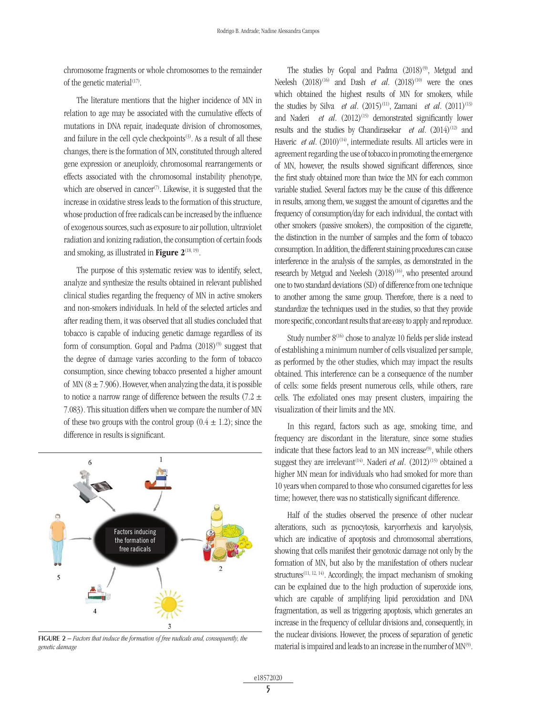chromosome fragments or whole chromosomes to the remainder of the genetic material $(17)$ .

The literature mentions that the higher incidence of MN in relation to age may be associated with the cumulative effects of mutations in DNA repair, inadequate division of chromosomes, and failure in the cell cycle checkpoints<sup>(3)</sup>. As a result of all these changes, there is the formation of MN, constituted through altered gene expression or aneuploidy, chromosomal rearrangements or effects associated with the chromosomal instability phenotype, which are observed in cancer<sup>(7)</sup>. Likewise, it is suggested that the increase in oxidative stress leads to the formation of this structure, whose production of free radicals can be increased by the influence of exogenous sources, such as exposure to air pollution, ultraviolet radiation and ionizing radiation, the consumption of certain foods and smoking, as illustrated in **Figure 2**<sup>(18, 19)</sup>.

The purpose of this systematic review was to identify, select, analyze and synthesize the results obtained in relevant published clinical studies regarding the frequency of MN in active smokers and non-smokers individuals. In held of the selected articles and after reading them, it was observed that all studies concluded that tobacco is capable of inducing genetic damage regardless of its form of consumption. Gopal and Padma  $(2018)^{(9)}$  suggest that the degree of damage varies according to the form of tobacco consumption, since chewing tobacco presented a higher amount of MN  $(8 \pm 7.906)$ . However, when analyzing the data, it is possible to notice a narrow range of difference between the results (7.2  $\pm$ 7.083). This situation differs when we compare the number of MN of these two groups with the control group  $(0.4 \pm 1.2)$ ; since the difference in results is significant.



figure 2 – *Factors that induce the formation of free radicals and, consequently, the genetic damage*

The studies by Gopal and Padma  $(2018)^{(9)}$ , Metgud and Neelesh  $(2018)^{(16)}$  and Dash *et al.*  $(2018)^{(10)}$  were the ones which obtained the highest results of MN for smokers, while the studies by Silva *et al.*  $(2015)^{(11)}$ , Zamani *et al.*  $(2011)^{(13)}$ and Naderi *et al.* (2012)<sup>(15)</sup> demonstrated significantly lower results and the studies by Chandirasekar *et al.* (2014)<sup>(12)</sup> and Haveric *et al.* (2010)<sup>(14)</sup>, intermediate results. All articles were in agreement regarding the use of tobacco in promoting the emergence of MN, however, the results showed significant differences, since the first study obtained more than twice the MN for each common variable studied. Several factors may be the cause of this difference in results, among them, we suggest the amount of cigarettes and the frequency of consumption/day for each individual, the contact with other smokers (passive smokers), the composition of the cigarette, the distinction in the number of samples and the form of tobacco consumption. In addition, the different staining procedures can cause interference in the analysis of the samples, as demonstrated in the research by Metgud and Neelesh (2018)<sup>(16)</sup>, who presented around one to two standard deviations (SD) of difference from one technique to another among the same group. Therefore, there is a need to standardize the techniques used in the studies, so that they provide more specific, concordant results that are easy to apply and reproduce.

Study number  $8^{(16)}$  chose to analyze 10 fields per slide instead of establishing a minimum number of cells visualized per sample, as performed by the other studies, which may impact the results obtained. This interference can be a consequence of the number of cells: some fields present numerous cells, while others, rare cells. The exfoliated ones may present clusters, impairing the visualization of their limits and the MN.

In this regard, factors such as age, smoking time, and frequency are discordant in the literature, since some studies indicate that these factors lead to an MN increase<sup>(9)</sup>, while others suggest they are irrelevant<sup>(14)</sup>. Naderi *et al.*  $(2012)^{(15)}$  obtained a higher MN mean for individuals who had smoked for more than 10 years when compared to those who consumed cigarettes for less time; however, there was no statistically significant difference.

Half of the studies observed the presence of other nuclear alterations, such as pycnocytosis, karyorrhexis and karyolysis, which are indicative of apoptosis and chromosomal aberrations, showing that cells manifest their genotoxic damage not only by the formation of MN, but also by the manifestation of others nuclear structures<sup> $(11, 12, 14)$ </sup>. Accordingly, the impact mechanism of smoking can be explained due to the high production of superoxide ions, which are capable of amplifying lipid peroxidation and DNA fragmentation, as well as triggering apoptosis, which generates an increase in the frequency of cellular divisions and, consequently, in the nuclear divisions. However, the process of separation of genetic material is impaired and leads to an increase in the number of MN<sup>(9)</sup>.